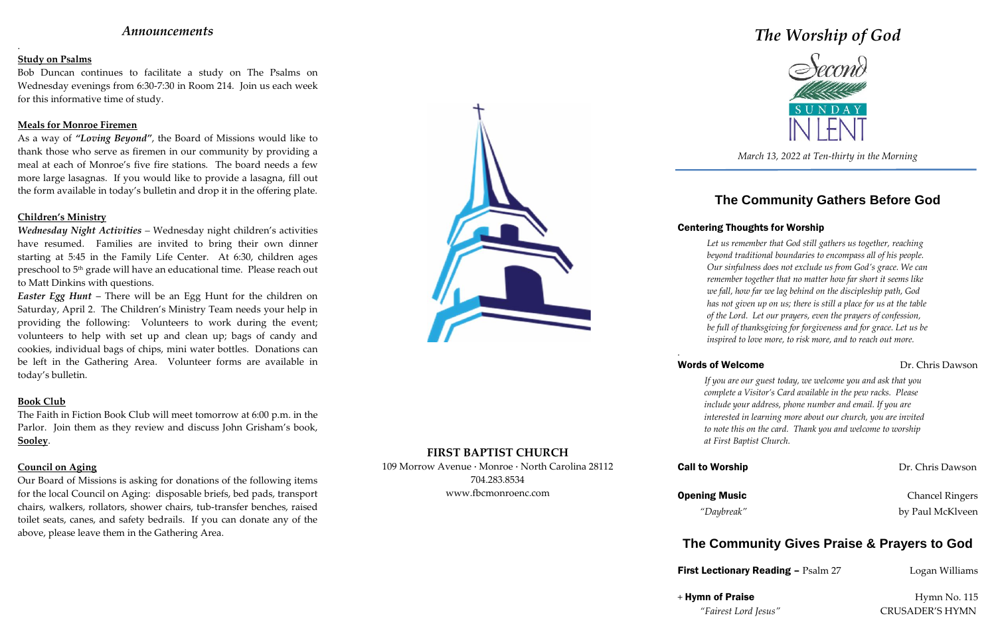### *Announcements*

.

### **Study on Psalms**

Bob Duncan continues to facilitate a study on The Psalms on Wednesday evenings from 6:30-7:30 in Room 214. Join us each week for this informative time of study.

#### **Meals for Monroe Firemen**

As a way of *"Loving Beyond"*, the Board of Missions would like to thank those who serve as firemen in our community by providing a meal at each of Monroe's five fire stations. The board needs a few more large lasagnas. If you would like to provide a lasagna, fill out the form available in today's bulletin and drop it in the offering plate.

#### **Children's Ministry**

*Wednesday Night Activities –* Wednesday night children's activities have resumed. Families are invited to bring their own dinner starting at 5:45 in the Family Life Center. At 6:30, children ages preschool to 5<sup>th</sup> grade will have an educational time. Please reach out to Matt Dinkins with questions.

*Easter Egg Hunt* – There will be an Egg Hunt for the children on Saturday, April 2. The Children's Ministry Team needs your help in providing the following: Volunteers to work during the event; volunteers to help with set up and clean up; bags of candy and cookies, individual bags of chips, mini water bottles. Donations can be left in the Gathering Area. Volunteer forms are available in today's bulletin.

#### **Book Club**

The Faith in Fiction Book Club will meet tomorrow at 6:00 p.m. in the Parlor. Join them as they review and discuss John Grisham's book, **Sooley**.

#### **Council on Aging**

**Opening Music** Chancel Ringers *"Daybreak"* by Paul McKlveen

Our Board of Missions is asking for donations of the following items for the local Council on Aging: disposable briefs, bed pads, transport chairs, walkers, rollators, shower chairs, tub-transfer benches, raised toilet seats, canes, and safety bedrails. If you can donate any of the above, please leave them in the Gathering Area.



### **FIRST BAPTIST CHURCH**

109 Morrow Avenue · Monroe · North Carolina 28112 704.283.8534 www.fbcmonroenc.com

# *The Worship of God*



*March 13, 2022 at Ten-thirty in the Morning*

## **The Community Gathers Before God**

### Centering Thoughts for Worship

*Let us remember that God still gathers us together, reaching beyond traditional boundaries to encompass all of his people. Our sinfulness does not exclude us from God's grace. We can remember together that no matter how far short it seems like we fall, how far we lag behind on the discipleship path, God has not given up on us; there is still a place for us at the table of the Lord. Let our prayers, even the prayers of confession, be full of thanksgiving for forgiveness and for grace. Let us be inspired to love more, to risk more, and to reach out more.*

*.*

*If you are our guest today, we welcome you and ask that you complete a Visitor's Card available in the pew racks. Please include your address, phone number and email. If you are interested in learning more about our church, you are invited to note this on the card. Thank you and welcome to worship at First Baptist Church.*

### Words of Welcome Dr. Chris Dawson

**Call to Worship Call to Worship Dr. Chris Dawson** 

## **The Community Gives Praise & Prayers to God**

**First Lectionary Reading – Psalm 27 Logan Williams** 

 $+$  Hymn of Praise Hymn No. 115

*"Fairest Lord Jesus"* CRUSADER'S HYMN